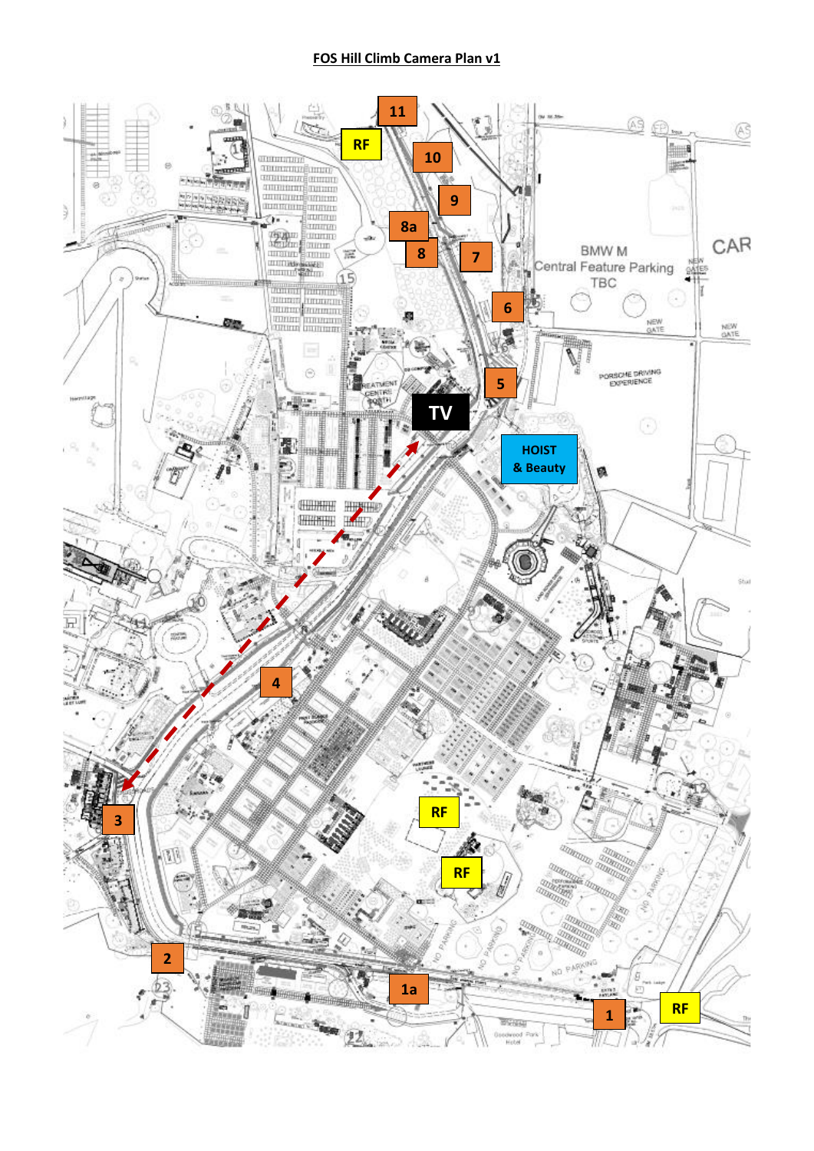## **FOS Hill Climb Camera Plan v1**